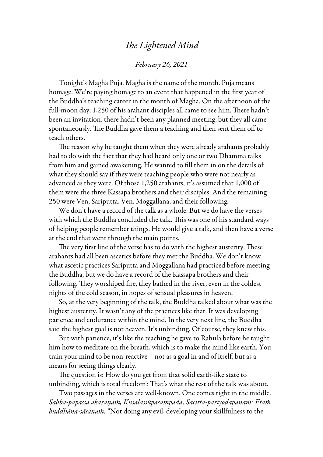## *The Lightened Mind*

## *February 26, 2021*

Tonight's Magha Puja. Magha is the name of the month. Puja means homage. We're paying homage to an event that happened in the first year of the Buddha's teaching career in the month of Magha. On the afternoon of the full-moon day, 1,250 of his arahant disciples all came to see him. There hadn't been an invitation, there hadn't been any planned meeting, but they all came spontaneously. The Buddha gave them a teaching and then sent them off to teach others.

The reason why he taught them when they were already arahants probably had to do with the fact that they had heard only one or two Dhamma talks from him and gained awakening. He wanted to fill them in on the details of what they should say if they were teaching people who were not nearly as advanced as they were. Of those 1,250 arahants, it's assumed that 1,000 of them were the three Kassapa brothers and their disciples. And the remaining 250 were Ven, Sariputta, Ven. Moggallana, and their following.

We don't have a record of the talk as a whole. But we do have the verses with which the Buddha concluded the talk. This was one of his standard ways of helping people remember things. He would give a talk, and then have a verse at the end that went through the main points.

The very first line of the verse has to do with the highest austerity. These arahants had all been ascetics before they met the Buddha. We don't know what ascetic practices Sariputta and Moggallana had practiced before meeting the Buddha, but we do have a record of the Kassapa brothers and their following. They worshiped fire, they bathed in the river, even in the coldest nights of the cold season, in hopes of sensual pleasures in heaven.

So, at the very beginning of the talk, the Buddha talked about what was the highest austerity. It wasn't any of the practices like that. It was developing patience and endurance within the mind. In the very next line, the Buddha said the highest goal is not heaven. It's unbinding. Of course, they knew this.

But with patience, it's like the teaching he gave to Rahula before he taught him how to meditate on the breath, which is to make the mind like earth. You train your mind to be non-reactive—not as a goal in and of itself, but as a means for seeing things clearly.

The question is: How do you get from that solid earth-like state to unbinding, which is total freedom? That's what the rest of the talk was about.

Two passages in the verses are well-known. One comes right in the middle. *Sabba-pāpassa akaraṇaṁ, Kusalassūpasampadā, Sacitta-pariyodapanaṁ: Etaṁ buddhāna-sāsanaṁ.* "Not doing any evil, developing your skillfulness to the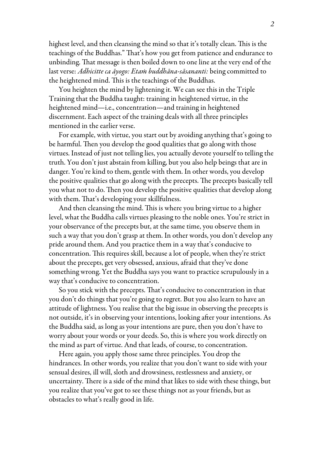highest level, and then cleansing the mind so that it's totally clean. This is the teachings of the Buddhas." That's how you get from patience and endurance to unbinding. That message is then boiled down to one line at the very end of the last verse: *Adhicitte ca āyogo: Etaṁ buddhāna-sāsananti:* being committed to the heightened mind. This is the teachings of the Buddhas.

You heighten the mind by lightening it. We can see this in the Triple Training that the Buddha taught: training in heightened virtue, in the heightened mind—i.e., concentration—and training in heightened discernment. Each aspect of the training deals with all three principles mentioned in the earlier verse.

For example, with virtue, you start out by avoiding anything that's going to be harmful. Then you develop the good qualities that go along with those virtues. Instead of just not telling lies, you actually devote yourself to telling the truth. You don't just abstain from killing, but you also help beings that are in danger. You're kind to them, gentle with them. In other words, you develop the positive qualities that go along with the precepts. The precepts basically tell you what not to do. Then you develop the positive qualities that develop along with them. That's developing your skillfulness.

And then cleansing the mind. This is where you bring virtue to a higher level, what the Buddha calls virtues pleasing to the noble ones. You're strict in your observance of the precepts but, at the same time, you observe them in such a way that you don't grasp at them. In other words, you don't develop any pride around them. And you practice them in a way that's conducive to concentration. This requires skill, because a lot of people, when they're strict about the precepts, get very obsessed, anxious, afraid that they've done something wrong. Yet the Buddha says you want to practice scrupulously in a way that's conducive to concentration.

So you stick with the precepts. That's conducive to concentration in that you don't do things that you're going to regret. But you also learn to have an attitude of lightness. You realise that the big issue in observing the precepts is not outside, it's in observing your intentions, looking after your intentions. As the Buddha said, as long as your intentions are pure, then you don't have to worry about your words or your deeds. So, this is where you work directly on the mind as part of virtue. And that leads, of course, to concentration.

Here again, you apply those same three principles. You drop the hindrances. In other words, you realize that you don't want to side with your sensual desires, ill will, sloth and drowsiness, restlessness and anxiety, or uncertainty. There is a side of the mind that likes to side with these things, but you realize that you've got to see these things not as your friends, but as obstacles to what's really good in life.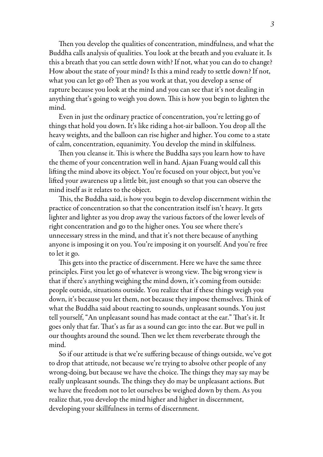Then you develop the qualities of concentration, mindfulness, and what the Buddha calls analysis of qualities. You look at the breath and you evaluate it. Is this a breath that you can settle down with? If not, what you can do to change? How about the state of your mind? Is this a mind ready to settle down? If not, what you can let go of? Then as you work at that, you develop a sense of rapture because you look at the mind and you can see that it's not dealing in anything that's going to weigh you down. This is how you begin to lighten the mind.

Even in just the ordinary practice of concentration, you're letting go of things that hold you down. It's like riding a hot-air balloon. You drop all the heavy weights, and the balloon can rise higher and higher. You come to a state of calm, concentration, equanimity. You develop the mind in skilfulness.

Then you cleanse it. This is where the Buddha says you learn how to have the theme of your concentration well in hand. Ajaan Fuang would call this lifting the mind above its object. You're focused on your object, but you've lifted your awareness up a little bit, just enough so that you can observe the mind itself as it relates to the object.

This, the Buddha said, is how you begin to develop discernment within the practice of concentration so that the concentration itself isn't heavy. It gets lighter and lighter as you drop away the various factors of the lower levels of right concentration and go to the higher ones. You see where there's unnecessary stress in the mind, and that it's not there because of anything anyone is imposing it on you. You're imposing it on yourself. And you're free to let it go.

This gets into the practice of discernment. Here we have the same three principles. First you let go of whatever is wrong view. The big wrong view is that if there's anything weighing the mind down, it's coming from outside: people outside, situations outside. You realize that if these things weigh you down, it's because you let them, not because they impose themselves. Think of what the Buddha said about reacting to sounds, unpleasant sounds. You just tell yourself, "An unpleasant sound has made contact at the ear." That's it. It goes only that far. That's as far as a sound can go: into the ear. But we pull in our thoughts around the sound. Then we let them reverberate through the mind.

So if our attitude is that we're suffering because of things outside, we've got to drop that attitude, not because we're trying to absolve other people of any wrong-doing, but because we have the choice. The things they may say may be really unpleasant sounds. The things they do may be unpleasant actions. But we have the freedom not to let ourselves be weighed down by them. As you realize that, you develop the mind higher and higher in discernment, developing your skillfulness in terms of discernment.